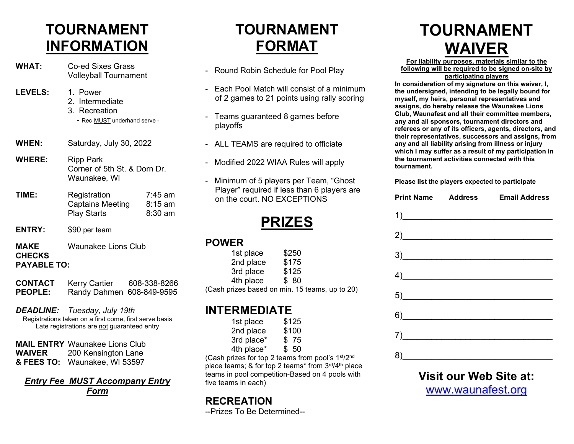# **TOURNAMENT INFORMATION**

- **WHAT:** Co-ed Sixes Grass Volleyball Tournament
- **LEVELS:** 1. Power
	- 2. Intermediate
	- 3. Recreation
	- Rec MUST underhand serve -
- **WHEN:** Saturday, July 30, 2022
- **WHERE:** Ripp Park Corner of 5th St. & Dorn Dr. Waunakee, WI
- **TIME:** Registration 7:45 am<br>Captains Meeting 8:15 am Captains Meeting Play Starts 8:30 am
- **ENTRY:** \$90 per team

**MAKE** Waunakee Lions Club **CHECKS PAYABLE TO:**

| <b>CONTACT</b> | <b>Kerry Cartier</b>      | 608-338-8266 |
|----------------|---------------------------|--------------|
| <b>PEOPLE:</b> | Randy Dahmen 608-849-9595 |              |

*DEADLINE: Tuesday, July 19th*  Registrations taken on a first come, first serve basis

Late registrations are not guaranteed entry

**MAIL ENTRY** Waunakee Lions Club **WAIVER** 200 Kensington Lane **& FEES TO:** Waunakee, WI 53597

### *Entry Fee MUST Accompany Entry Form*

# **TOURNAMENT FORMAT**

- Round Robin Schedule for Pool Play
- Each Pool Match will consist of a minimum of 2 games to 21 points using rally scoring
- Teams guaranteed 8 games before playoffs
- ALL TEAMS are required to officiate
- Modified 2022 WIAA Rules will apply
- Minimum of 5 players per Team, "Ghost Player" required if less than 6 players are on the court. NO EXCEPTIONS

**PRIZES**

#### **POWER**

| 1st place                                      | \$250 |  |
|------------------------------------------------|-------|--|
| 2nd place                                      | \$175 |  |
| 3rd place                                      | \$125 |  |
| 4th place                                      | \$80  |  |
| (Cash prizes based on min. 15 teams, up to 20) |       |  |

## **INTERMEDIATE**

| 1st place  | \$125 |
|------------|-------|
| 2nd place  | \$100 |
| 3rd place* | \$75  |
| 4th place* | \$50  |

(Cash prizes for top 2 teams from pool's 1st/2nd place teams;  $&$  for top 2 teams\* from  $3^{\text{rd}}/4^{\text{th}}$  place teams in pool competition-Based on 4 pools with five teams in each)

## **RECREATION**

--Prizes To Be Determined--

# **TOURNAMENT WAIVER**

**For liability purposes, materials similar to the following will be required to be signed on-site by** 

**participating players**

**In consideration of my signature on this waiver, I, the undersigned, intending to be legally bound for myself, my heirs, personal representatives and assigns, do hereby release the Waunakee Lions Club, Waunafest and all their committee members, any and all sponsors, tournament directors and referees or any of its officers, agents, directors, and their representatives, successors and assigns, from any and all liability arising from illness or injury which I may suffer as a result of my participation in the tournament activities connected with this tournament.**

**Please list the players expected to participate**

| <b>Print Name Address Email Address</b>          |
|--------------------------------------------------|
| $\overline{1}$                                   |
| 2)                                               |
| $\frac{3}{2}$                                    |
| $\left( \frac{4}{2} \right)$                     |
|                                                  |
|                                                  |
|                                                  |
|                                                  |
| 5)<br>$\begin{array}{c} \mathbf{7)} \end{array}$ |

**Visit our Web Site at:** [www.waunafest.org](http://www.waunafest.org/)